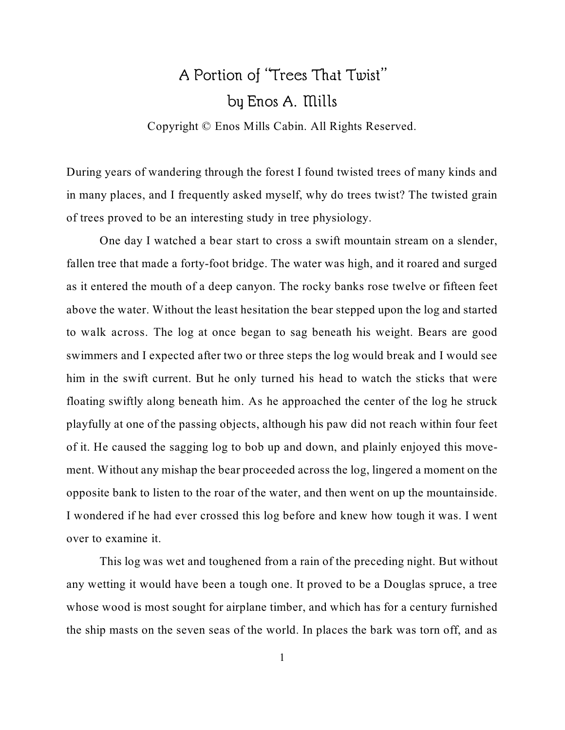## A Portion of "Trees That Twist" by Enos A. Mills

Copyright © Enos Mills Cabin. All Rights Reserved.

During years of wandering through the forest I found twisted trees of many kinds and in many places, and I frequently asked myself, why do trees twist? The twisted grain of trees proved to be an interesting study in tree physiology.

One day I watched a bear start to cross a swift mountain stream on a slender, fallen tree that made a forty-foot bridge. The water was high, and it roared and surged as it entered the mouth of a deep canyon. The rocky banks rose twelve or fifteen feet above the water. Without the least hesitation the bear stepped upon the log and started to walk across. The log at once began to sag beneath his weight. Bears are good swimmers and I expected after two or three steps the log would break and I would see him in the swift current. But he only turned his head to watch the sticks that were floating swiftly along beneath him. As he approached the center of the log he struck playfully at one of the passing objects, although his paw did not reach within four feet of it. He caused the sagging log to bob up and down, and plainly enjoyed this movement. Without any mishap the bear proceeded across the log, lingered a moment on the opposite bank to listen to the roar of the water, and then went on up the mountainside. I wondered if he had ever crossed this log before and knew how tough it was. I went over to examine it.

This log was wet and toughened from a rain of the preceding night. But without any wetting it would have been a tough one. It proved to be a Douglas spruce, a tree whose wood is most sought for airplane timber, and which has for a century furnished the ship masts on the seven seas of the world. In places the bark was torn off, and as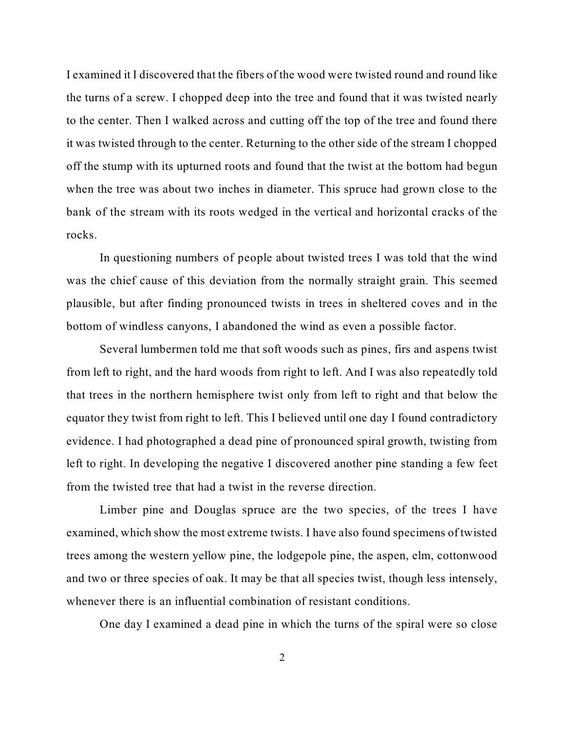I examined it I discovered that the fibers of the wood were twisted round and round like the turns of a screw. I chopped deep into the tree and found that it was twisted nearly to the center. Then I walked across and cutting off the top of the tree and found there it was twisted through to the center. Returning to the other side of the stream I chopped off the stump with its upturned roots and found that the twist at the bottom had begun when the tree was about two inches in diameter. This spruce had grown close to the bank of the stream with its roots wedged in the vertical and horizontal cracks of the rocks.

In questioning numbers of people about twisted trees I was told that the wind was the chief cause of this deviation from the normally straight grain. This seemed plausible, but after finding pronounced twists in trees in sheltered coves and in the bottom of windless canyons, I abandoned the wind as even a possible factor.

Several lumbermen told me that soft woods such as pines, firs and aspens twist from left to right, and the hard woods from right to left. And I was also repeatedly told that trees in the northern hemisphere twist only from left to right and that below the equator they twist from right to left. This I believed until one day I found contradictory evidence. I had photographed a dead pine of pronounced spiral growth, twisting from left to right. In developing the negative I discovered another pine standing a few feet from the twisted tree that had a twist in the reverse direction.

Limber pine and Douglas spruce are the two species, of the trees I have examined, which show the most extreme twists. I have also found specimens of twisted trees among the western yellow pine, the lodgepole pine, the aspen, elm, cottonwood and two or three species of oak. It may be that all species twist, though less intensely, whenever there is an influential combination of resistant conditions.

One day I examined a dead pine in which the turns of the spiral were so close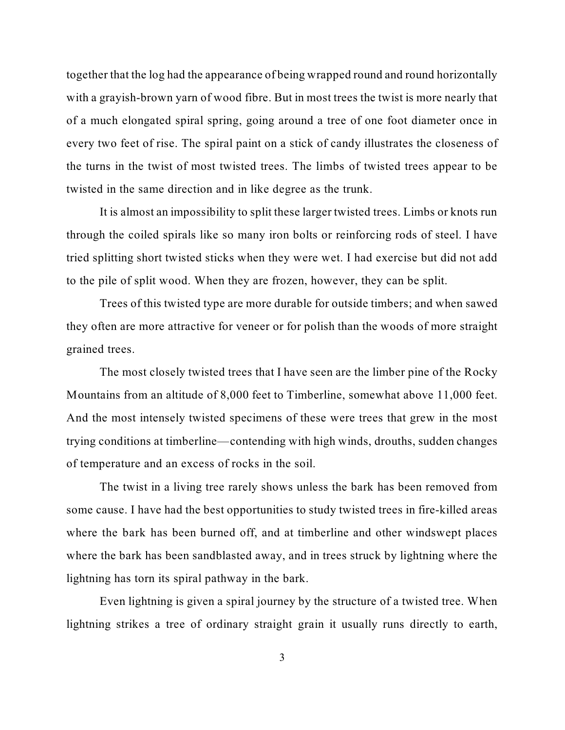together that the log had the appearance of being wrapped round and round horizontally with a grayish-brown yarn of wood fibre. But in most trees the twist is more nearly that of a much elongated spiral spring, going around a tree of one foot diameter once in every two feet of rise. The spiral paint on a stick of candy illustrates the closeness of the turns in the twist of most twisted trees. The limbs of twisted trees appear to be twisted in the same direction and in like degree as the trunk.

It is almost an impossibility to split these larger twisted trees. Limbs or knots run through the coiled spirals like so many iron bolts or reinforcing rods of steel. I have tried splitting short twisted sticks when they were wet. I had exercise but did not add to the pile of split wood. When they are frozen, however, they can be split.

Trees of this twisted type are more durable for outside timbers; and when sawed they often are more attractive for veneer or for polish than the woods of more straight grained trees.

The most closely twisted trees that I have seen are the limber pine of the Rocky Mountains from an altitude of 8,000 feet to Timberline, somewhat above 11,000 feet. And the most intensely twisted specimens of these were trees that grew in the most trying conditions at timberline—contending with high winds, drouths, sudden changes of temperature and an excess of rocks in the soil.

The twist in a living tree rarely shows unless the bark has been removed from some cause. I have had the best opportunities to study twisted trees in fire-killed areas where the bark has been burned off, and at timberline and other windswept places where the bark has been sandblasted away, and in trees struck by lightning where the lightning has torn its spiral pathway in the bark.

Even lightning is given a spiral journey by the structure of a twisted tree. When lightning strikes a tree of ordinary straight grain it usually runs directly to earth,